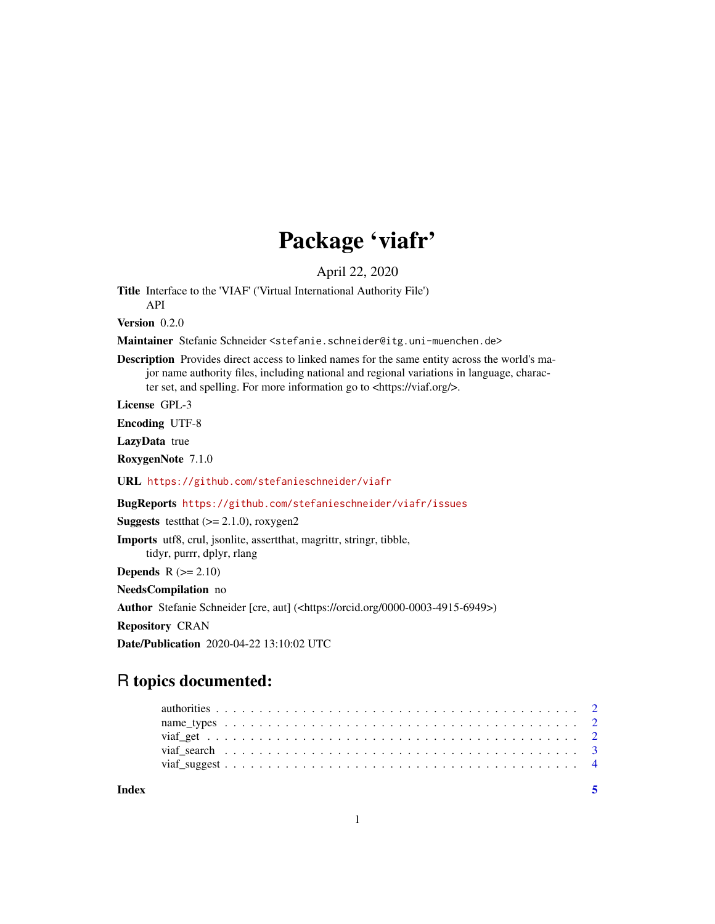## Package 'viafr'

April 22, 2020

Title Interface to the 'VIAF' ('Virtual International Authority File')

API Version 0.2.0

Maintainer Stefanie Schneider <stefanie.schneider@itg.uni-muenchen.de>

Description Provides direct access to linked names for the same entity across the world's major name authority files, including national and regional variations in language, character set, and spelling. For more information go to <https://viaf.org/>.

License GPL-3

Encoding UTF-8

LazyData true

RoxygenNote 7.1.0

URL <https://github.com/stefanieschneider/viafr>

BugReports <https://github.com/stefanieschneider/viafr/issues>

**Suggests** testthat  $(>= 2.1.0)$ , roxygen2

Imports utf8, crul, jsonlite, assertthat, magrittr, stringr, tibble,

tidyr, purrr, dplyr, rlang

**Depends**  $R$  ( $>= 2.10$ )

NeedsCompilation no

Author Stefanie Schneider [cre, aut] (<https://orcid.org/0000-0003-4915-6949>)

Repository CRAN

Date/Publication 2020-04-22 13:10:02 UTC

### R topics documented:

| Index |  |  |  |  |  |  |  |  |  |  |  |  |  |  |  |  |  |  |  |  |  |
|-------|--|--|--|--|--|--|--|--|--|--|--|--|--|--|--|--|--|--|--|--|--|
|       |  |  |  |  |  |  |  |  |  |  |  |  |  |  |  |  |  |  |  |  |  |
|       |  |  |  |  |  |  |  |  |  |  |  |  |  |  |  |  |  |  |  |  |  |
|       |  |  |  |  |  |  |  |  |  |  |  |  |  |  |  |  |  |  |  |  |  |
|       |  |  |  |  |  |  |  |  |  |  |  |  |  |  |  |  |  |  |  |  |  |
|       |  |  |  |  |  |  |  |  |  |  |  |  |  |  |  |  |  |  |  |  |  |

1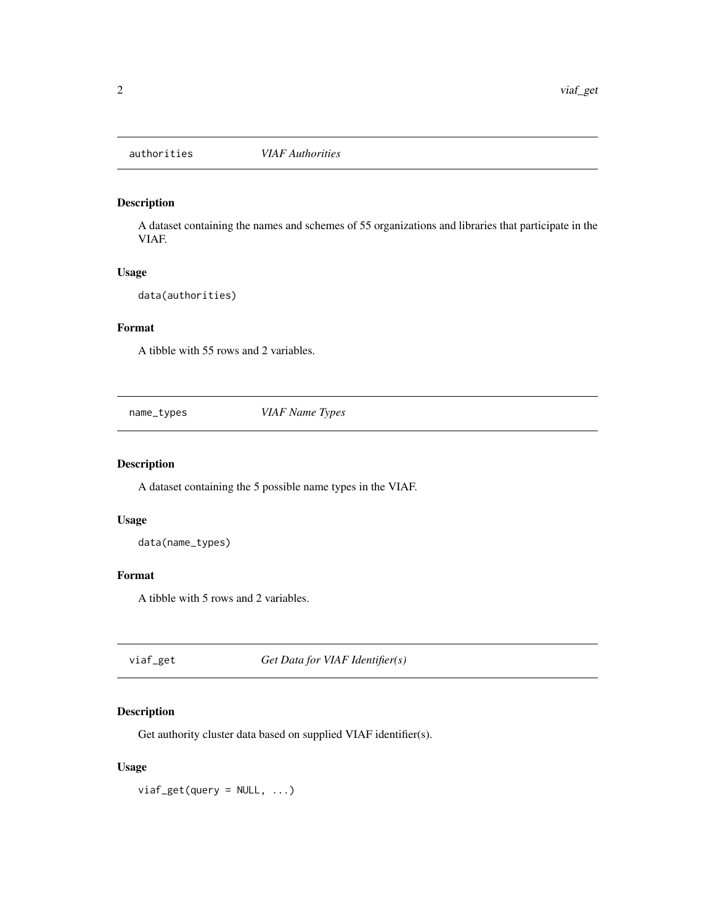<span id="page-1-0"></span>

#### Description

A dataset containing the names and schemes of 55 organizations and libraries that participate in the VIAF.

#### Usage

data(authorities)

#### Format

A tibble with 55 rows and 2 variables.

name\_types *VIAF Name Types*

#### Description

A dataset containing the 5 possible name types in the VIAF.

#### Usage

data(name\_types)

#### Format

A tibble with 5 rows and 2 variables.

viaf\_get *Get Data for VIAF Identifier(s)*

#### Description

Get authority cluster data based on supplied VIAF identifier(s).

#### Usage

 $viaf\_get(query = NULL, ...)$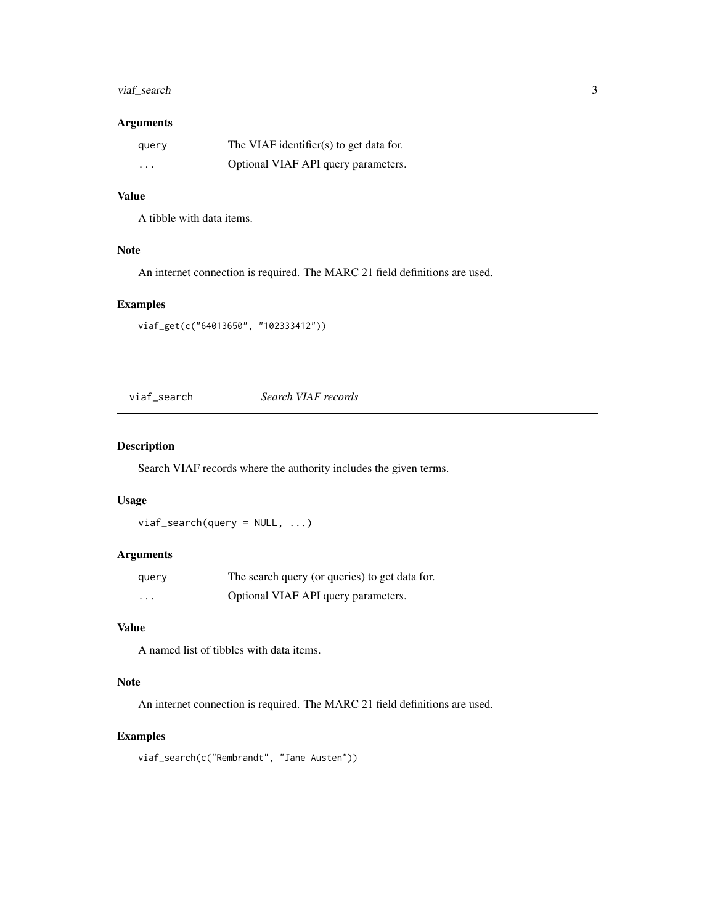#### <span id="page-2-0"></span>viaf\_search 3

#### Arguments

| query                   | The VIAF identifier(s) to get data for. |
|-------------------------|-----------------------------------------|
| $\cdot$ $\cdot$ $\cdot$ | Optional VIAF API query parameters.     |

#### Value

A tibble with data items.

#### Note

An internet connection is required. The MARC 21 field definitions are used.

#### Examples

viaf\_get(c("64013650", "102333412"))

viaf\_search *Search VIAF records*

#### Description

Search VIAF records where the authority includes the given terms.

#### Usage

 $via f\_search(query = NULL, ...)$ 

#### Arguments

| query | The search query (or queries) to get data for. |
|-------|------------------------------------------------|
| .     | Optional VIAF API query parameters.            |

#### Value

A named list of tibbles with data items.

#### Note

An internet connection is required. The MARC 21 field definitions are used.

#### Examples

viaf\_search(c("Rembrandt", "Jane Austen"))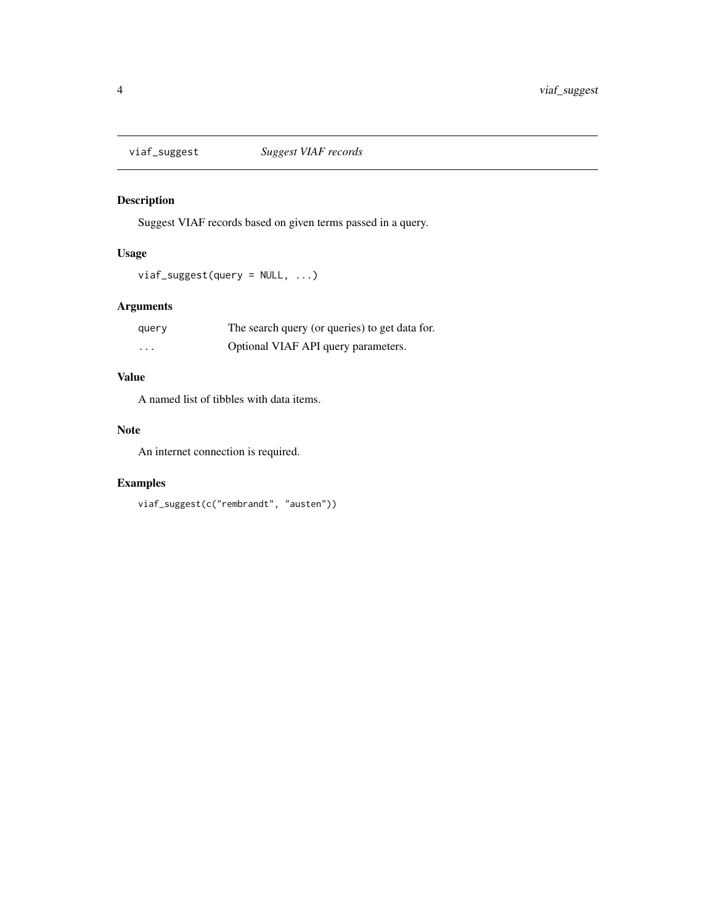<span id="page-3-0"></span>

#### Description

Suggest VIAF records based on given terms passed in a query.

#### Usage

```
viaf_suggest(query = NULL, ...)
```
#### Arguments

| query | The search query (or queries) to get data for. |
|-------|------------------------------------------------|
| .     | Optional VIAF API query parameters.            |

#### Value

A named list of tibbles with data items.

#### Note

An internet connection is required.

#### Examples

```
viaf_suggest(c("rembrandt", "austen"))
```